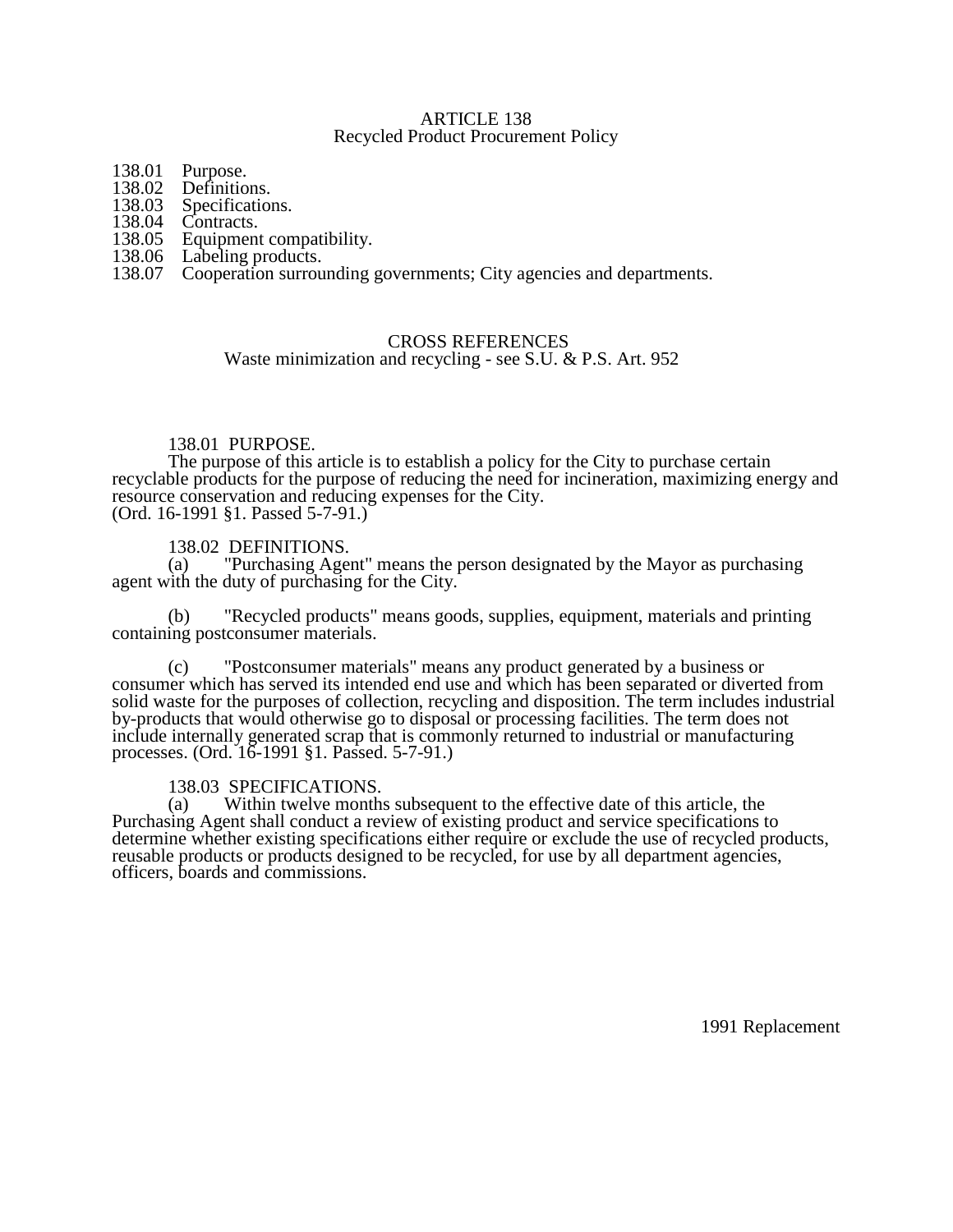## ARTICLE 138 Recycled Product Procurement Policy

- 138.01 Purpose.<br>138.02 Definitio
- 138.02 Definitions.<br>138.03 Specification
- 138.03 Specifications.<br>138.04 Contracts.
- 138.04 Contracts.<br>138.05 Equipment
- 138.05 Equipment compatibility.<br>138.06 Labeling products.
- Labeling products.
- 138.07 Cooperation surrounding governments; City agencies and departments.

# CROSS REFERENCES

Waste minimization and recycling - see S.U. & P.S. Art. 952

# 138.01 PURPOSE.

The purpose of this article is to establish a policy for the City to purchase certain recyclable products for the purpose of reducing the need for incineration, maximizing energy and resource conservation and reducing expenses for the City. (Ord. 16-1991 §1. Passed 5-7-91.)

# 138.02 DEFINITIONS.<br>(a) Teach Transing Age

"Purchasing Agent" means the person designated by the Mayor as purchasing agent with the duty of purchasing for the City.

(b) "Recycled products" means goods, supplies, equipment, materials and printing containing postconsumer materials.

(c) "Postconsumer materials" means any product generated by a business or consumer which has served its intended end use and which has been separated or diverted from solid waste for the purposes of collection, recycling and disposition. The term includes industrial by-products that would otherwise go to disposal or processing facilities. The term does not include internally generated scrap that is commonly returned to industrial or manufacturing processes. (Ord. 16-1991 §1. Passed. 5-7-91.)

## 138.03 SPECIFICATIONS.

(a) Within twelve months subsequent to the effective date of this article, the Purchasing Agent shall conduct a review of existing product and service specifications to determine whether existing specifications either require or exclude the use of recycled products, reusable products or products designed to be recycled, for use by all department agencies, officers, boards and commissions.

1991 Replacement